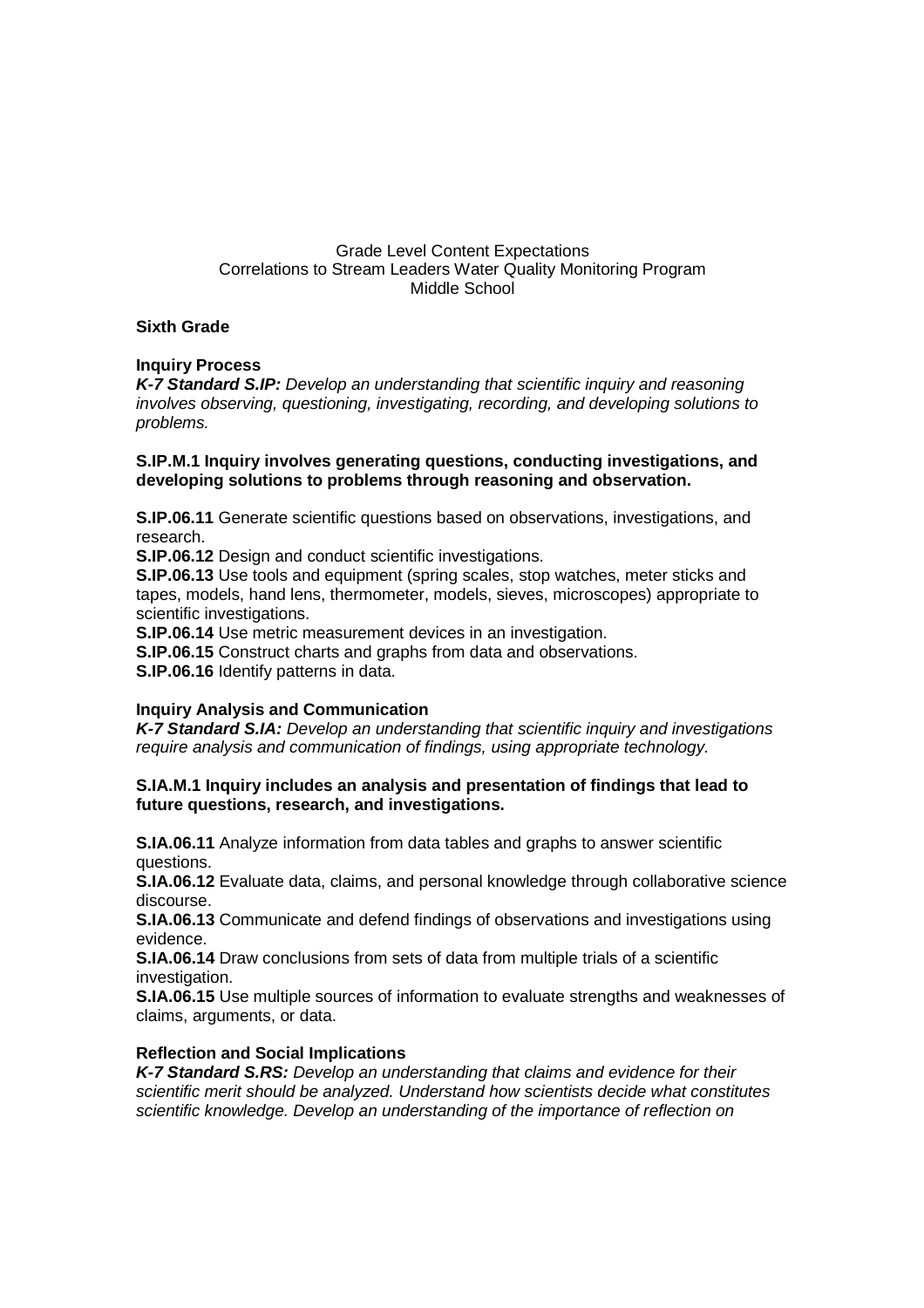# Grade Level Content Expectations Correlations to Stream Leaders Water Quality Monitoring Program Middle School

### **Sixth Grade**

# **Inquiry Process**

**K-7 Standard S.IP:** Develop an understanding that scientific inquiry and reasoning involves observing, questioning, investigating, recording, and developing solutions to problems.

#### **S.IP.M.1 Inquiry involves generating questions, conducting investigations, and developing solutions to problems through reasoning and observation.**

**S.IP.06.11** Generate scientific questions based on observations, investigations, and research.

**S.IP.06.12** Design and conduct scientific investigations.

**S.IP.06.13** Use tools and equipment (spring scales, stop watches, meter sticks and tapes, models, hand lens, thermometer, models, sieves, microscopes) appropriate to scientific investigations.

**S.IP.06.14** Use metric measurement devices in an investigation.

**S.IP.06.15** Construct charts and graphs from data and observations.

**S.IP.06.16** Identify patterns in data.

# **Inquiry Analysis and Communication**

**K-7 Standard S.IA:** Develop an understanding that scientific inquiry and investigations require analysis and communication of findings, using appropriate technology.

### **S.IA.M.1 Inquiry includes an analysis and presentation of findings that lead to future questions, research, and investigations.**

**S.IA.06.11** Analyze information from data tables and graphs to answer scientific questions.

**S.IA.06.12** Evaluate data, claims, and personal knowledge through collaborative science discourse.

**S.IA.06.13** Communicate and defend findings of observations and investigations using evidence.

**S.IA.06.14** Draw conclusions from sets of data from multiple trials of a scientific investigation.

**S.IA.06.15** Use multiple sources of information to evaluate strengths and weaknesses of claims, arguments, or data.

# **Reflection and Social Implications**

**K-7 Standard S.RS:** Develop an understanding that claims and evidence for their scientific merit should be analyzed. Understand how scientists decide what constitutes scientific knowledge. Develop an understanding of the importance of reflection on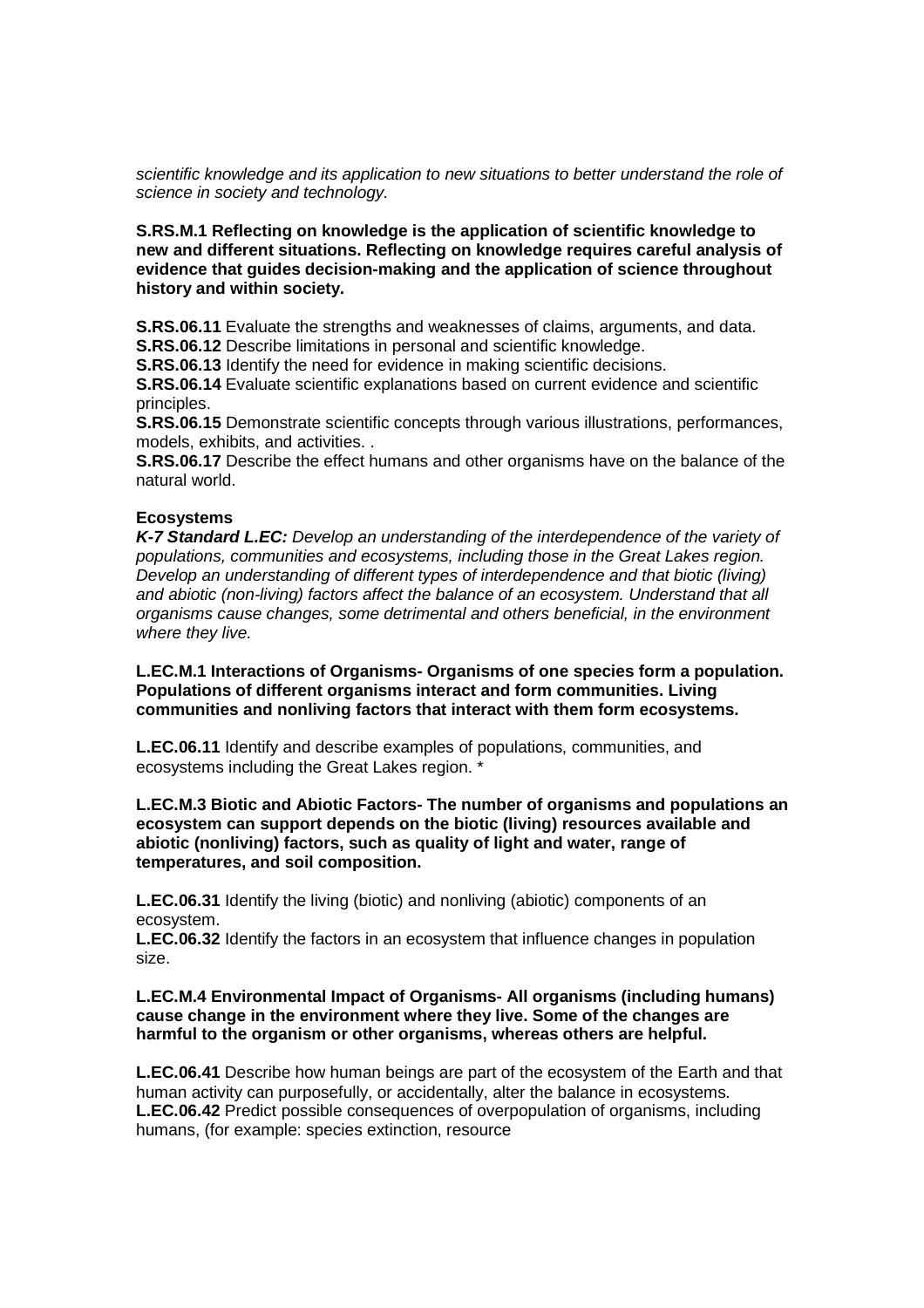scientific knowledge and its application to new situations to better understand the role of science in society and technology.

#### **S.RS.M.1 Reflecting on knowledge is the application of scientific knowledge to new and different situations. Reflecting on knowledge requires careful analysis of evidence that guides decision-making and the application of science throughout history and within society.**

**S.RS.06.11** Evaluate the strengths and weaknesses of claims, arguments, and data. **S.RS.06.12** Describe limitations in personal and scientific knowledge.

**S.RS.06.13** Identify the need for evidence in making scientific decisions.

**S.RS.06.14** Evaluate scientific explanations based on current evidence and scientific principles.

**S.RS.06.15** Demonstrate scientific concepts through various illustrations, performances, models, exhibits, and activities. .

**S.RS.06.17** Describe the effect humans and other organisms have on the balance of the natural world.

#### **Ecosystems**

**K-7 Standard L.EC:** Develop an understanding of the interdependence of the variety of populations, communities and ecosystems, including those in the Great Lakes region. Develop an understanding of different types of interdependence and that biotic (living) and abiotic (non-living) factors affect the balance of an ecosystem. Understand that all organisms cause changes, some detrimental and others beneficial, in the environment where they live.

**L.EC.M.1 Interactions of Organisms- Organisms of one species form a population. Populations of different organisms interact and form communities. Living communities and nonliving factors that interact with them form ecosystems.** 

**L.EC.06.11** Identify and describe examples of populations, communities, and ecosystems including the Great Lakes region. \*

#### **L.EC.M.3 Biotic and Abiotic Factors- The number of organisms and populations an ecosystem can support depends on the biotic (living) resources available and abiotic (nonliving) factors, such as quality of light and water, range of temperatures, and soil composition.**

**L.EC.06.31** Identify the living (biotic) and nonliving (abiotic) components of an ecosystem.

**L.EC.06.32** Identify the factors in an ecosystem that influence changes in population size.

#### **L.EC.M.4 Environmental Impact of Organisms- All organisms (including humans) cause change in the environment where they live. Some of the changes are harmful to the organism or other organisms, whereas others are helpful.**

**L.EC.06.41** Describe how human beings are part of the ecosystem of the Earth and that human activity can purposefully, or accidentally, alter the balance in ecosystems. **L.EC.06.42** Predict possible consequences of overpopulation of organisms, including humans, (for example: species extinction, resource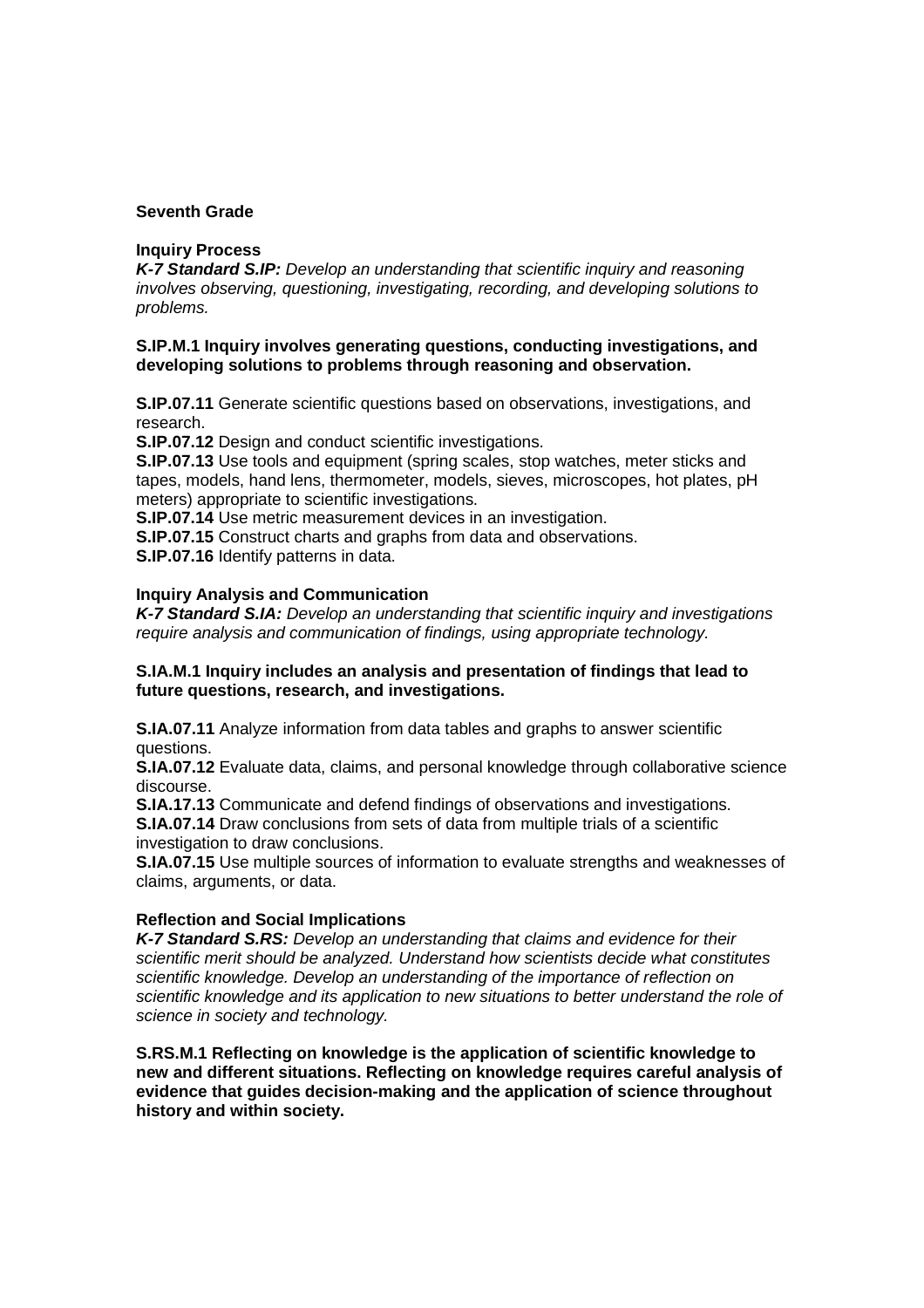### **Seventh Grade**

#### **Inquiry Process**

**K-7 Standard S.IP:** Develop an understanding that scientific inquiry and reasoning involves observing, questioning, investigating, recording, and developing solutions to problems.

### **S.IP.M.1 Inquiry involves generating questions, conducting investigations, and developing solutions to problems through reasoning and observation.**

**S.IP.07.11** Generate scientific questions based on observations, investigations, and research.

**S.IP.07.12** Design and conduct scientific investigations.

**S.IP.07.13** Use tools and equipment (spring scales, stop watches, meter sticks and tapes, models, hand lens, thermometer, models, sieves, microscopes, hot plates, pH meters) appropriate to scientific investigations.

**S.IP.07.14** Use metric measurement devices in an investigation.

**S.IP.07.15** Construct charts and graphs from data and observations.

**S.IP.07.16** Identify patterns in data.

#### **Inquiry Analysis and Communication**

**K-7 Standard S.IA:** Develop an understanding that scientific inquiry and investigations require analysis and communication of findings, using appropriate technology.

#### **S.IA.M.1 Inquiry includes an analysis and presentation of findings that lead to future questions, research, and investigations.**

**S.IA.07.11** Analyze information from data tables and graphs to answer scientific questions.

**S.IA.07.12** Evaluate data, claims, and personal knowledge through collaborative science discourse.

**S.IA.17.13** Communicate and defend findings of observations and investigations. **S.IA.07.14** Draw conclusions from sets of data from multiple trials of a scientific investigation to draw conclusions.

**S.IA.07.15** Use multiple sources of information to evaluate strengths and weaknesses of claims, arguments, or data.

#### **Reflection and Social Implications**

**K-7 Standard S.RS:** Develop an understanding that claims and evidence for their scientific merit should be analyzed. Understand how scientists decide what constitutes scientific knowledge. Develop an understanding of the importance of reflection on scientific knowledge and its application to new situations to better understand the role of science in society and technology.

**S.RS.M.1 Reflecting on knowledge is the application of scientific knowledge to new and different situations. Reflecting on knowledge requires careful analysis of evidence that guides decision-making and the application of science throughout history and within society.**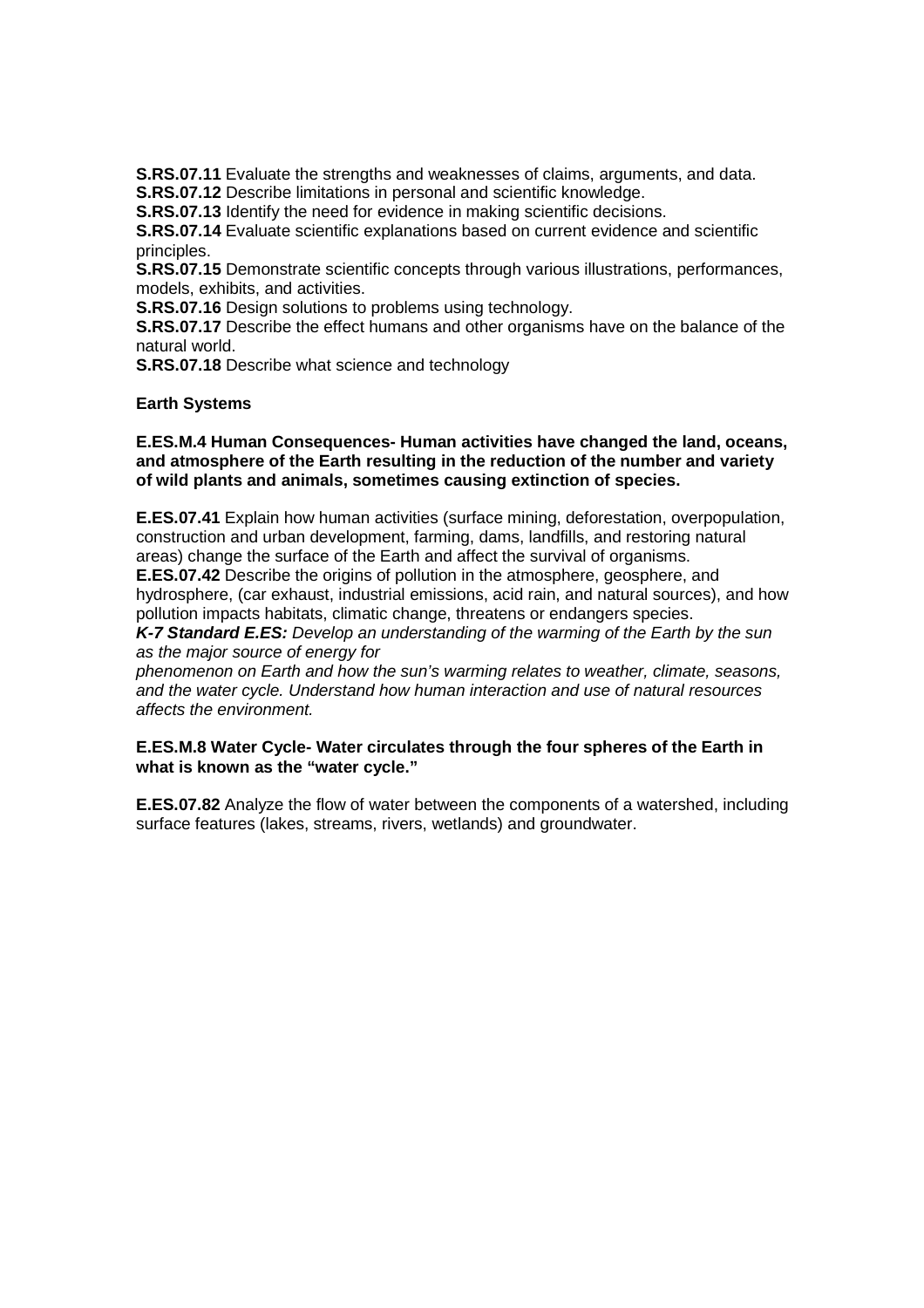**S.RS.07.11** Evaluate the strengths and weaknesses of claims, arguments, and data. **S.RS.07.12** Describe limitations in personal and scientific knowledge.

**S.RS.07.13** Identify the need for evidence in making scientific decisions.

**S.RS.07.14** Evaluate scientific explanations based on current evidence and scientific principles.

**S.RS.07.15** Demonstrate scientific concepts through various illustrations, performances, models, exhibits, and activities.

**S.RS.07.16** Design solutions to problems using technology.

**S.RS.07.17** Describe the effect humans and other organisms have on the balance of the natural world.

**S.RS.07.18** Describe what science and technology

#### **Earth Systems**

#### **E.ES.M.4 Human Consequences- Human activities have changed the land, oceans, and atmosphere of the Earth resulting in the reduction of the number and variety of wild plants and animals, sometimes causing extinction of species.**

**E.ES.07.41** Explain how human activities (surface mining, deforestation, overpopulation, construction and urban development, farming, dams, landfills, and restoring natural areas) change the surface of the Earth and affect the survival of organisms.

**E.ES.07.42** Describe the origins of pollution in the atmosphere, geosphere, and hydrosphere, (car exhaust, industrial emissions, acid rain, and natural sources), and how pollution impacts habitats, climatic change, threatens or endangers species.

**K-7 Standard E.ES:** Develop an understanding of the warming of the Earth by the sun as the major source of energy for

phenomenon on Earth and how the sun's warming relates to weather, climate, seasons, and the water cycle. Understand how human interaction and use of natural resources affects the environment.

#### **E.ES.M.8 Water Cycle- Water circulates through the four spheres of the Earth in what is known as the "water cycle."**

**E.ES.07.82** Analyze the flow of water between the components of a watershed, including surface features (lakes, streams, rivers, wetlands) and groundwater.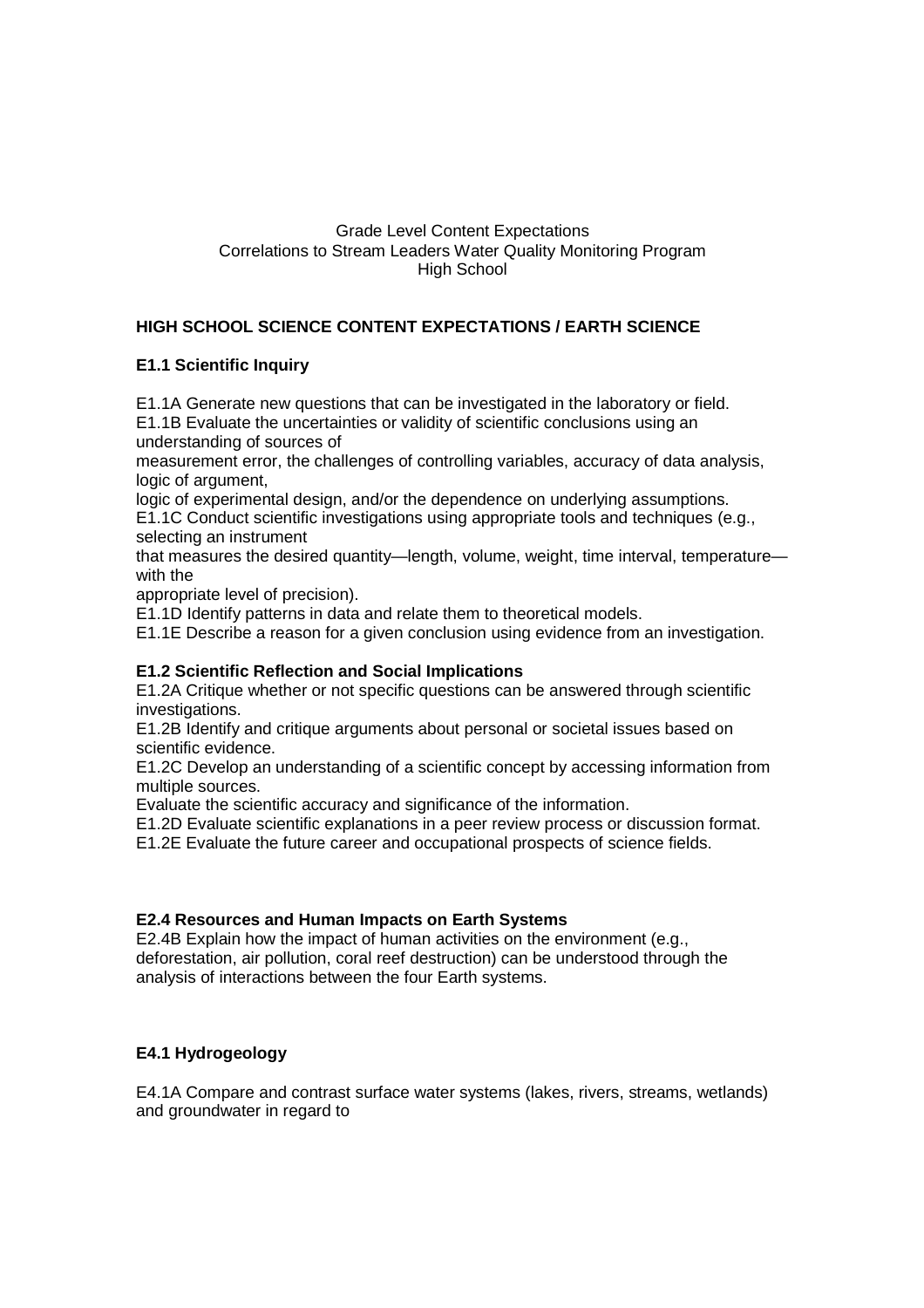### Grade Level Content Expectations Correlations to Stream Leaders Water Quality Monitoring Program High School

# **HIGH SCHOOL SCIENCE CONTENT EXPECTATIONS / EARTH SCIENCE**

# **E1.1 Scientific Inquiry**

E1.1A Generate new questions that can be investigated in the laboratory or field.

E1.1B Evaluate the uncertainties or validity of scientific conclusions using an understanding of sources of

measurement error, the challenges of controlling variables, accuracy of data analysis, logic of argument,

logic of experimental design, and/or the dependence on underlying assumptions.

E1.1C Conduct scientific investigations using appropriate tools and techniques (e.g., selecting an instrument

that measures the desired quantity—length, volume, weight, time interval, temperature with the

appropriate level of precision).

E1.1D Identify patterns in data and relate them to theoretical models.

E1.1E Describe a reason for a given conclusion using evidence from an investigation.

# **E1.2 Scientific Reflection and Social Implications**

E1.2A Critique whether or not specific questions can be answered through scientific investigations.

E1.2B Identify and critique arguments about personal or societal issues based on scientific evidence.

E1.2C Develop an understanding of a scientific concept by accessing information from multiple sources.

Evaluate the scientific accuracy and significance of the information.

E1.2D Evaluate scientific explanations in a peer review process or discussion format.

E1.2E Evaluate the future career and occupational prospects of science fields.

# **E2.4 Resources and Human Impacts on Earth Systems**

E2.4B Explain how the impact of human activities on the environment (e.g., deforestation, air pollution, coral reef destruction) can be understood through the analysis of interactions between the four Earth systems.

# **E4.1 Hydrogeology**

E4.1A Compare and contrast surface water systems (lakes, rivers, streams, wetlands) and groundwater in regard to